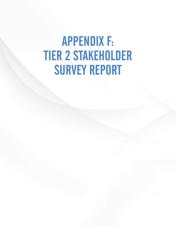# APPENDIX F: TIER 2 STAKEHOLDER SURVEY REPORT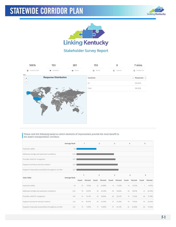



### Stakeholder Survey Report

| 100%                       | 153<br>381                   |          | 153<br>$\bf{0}$ |                     | 7 mins                                                        |
|----------------------------|------------------------------|----------|-----------------|---------------------|---------------------------------------------------------------|
| Completion Rate<br>$\odot$ | <b>Fu</b> Completed          | · Viewed | Started         | $\circ$<br>Dropouts | Average Time<br>$\odot$                                       |
| 050<br>$\ddot{}$           | <b>Response Distribution</b> |          | Countries       |                     | $\textcircled{\texttt{}}$ Responses $\textcircled{\texttt{}}$ |
| ٠                          |                              |          | US              |                     | 100.00%                                                       |
|                            |                              |          | Total           |                     | 100.00%                                                       |
|                            |                              |          |                 |                     |                                                               |

#### Please rank the following based on which elements of improvement provide the most benefit to the state's transportation corridors:

|                                                     | Average Rank |       | 1       |                | $\overline{2}$ | 3     |         | 4     |         | 5            |         |
|-----------------------------------------------------|--------------|-------|---------|----------------|----------------|-------|---------|-------|---------|--------------|---------|
| Improves safety                                     | 1.8          |       |         |                |                |       |         |       |         |              |         |
| Addresses bridge and pavement conditions            | 2.95         |       |         |                |                |       |         |       |         |              |         |
| Provides relief for congestion                      | 3.07         |       |         |                |                |       |         |       |         |              |         |
| Support commerce and job creation                   | 3.22         |       |         |                |                |       |         |       |         |              |         |
| Supports improved accessibility throughout corridor | 3.27         |       |         |                |                |       |         |       |         |              |         |
|                                                     |              | 1     |         | $\overline{2}$ |                |       | 3       |       | 4       | 5            |         |
| Data Table                                          |              |       |         |                |                |       |         |       |         |              |         |
|                                                     | Average Rank | Count | Percent | Count          | Percent        | Count | Percent | Count | Percent | Count        | Percent |
| Improves safety                                     | 1.8          | 72    | 51.8%   | 32             | 23.88%         | 14    | 11.02%  | 14    | 13.21%  | $\mathbf{1}$ | 0.97%   |
| Addresses bridge and pavement conditions            | 2.95         | 19    | 13.67%  | 30             | 22.39%         | 29    | 22.83%  | 20    | 18.87%  | 21           | 20.39%  |
| Provides relief for congestion                      | 3.07         | 21    | 15.11%  | 25             | 18.66%         | 26    | 20.47%  | 19    | 17.92%  | 28           | 27.18%  |
| Support commerce and job creation                   | 3.22         | 14    | 10.07%  | 30             | 22.39%         | 27    | 21.26%  | 19    | 17.92%  | 33           | 32.04%  |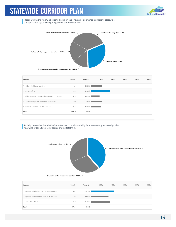

Please weight the following criteria based on their relative importance to improve statewide transportation system (weighting scores should total 100):



| Answer                                              | Count  | Percent | 20% | 40% | 60% | 80% | 100% |
|-----------------------------------------------------|--------|---------|-----|-----|-----|-----|------|
| Provides relief to congestion                       | 19.44  | 18.63%  |     |     |     |     |      |
| Improves safety                                     | 32.42  | 31.06%  |     |     |     |     |      |
| Provides improved accessibility throughout corridor | 14.86  | 14.23%  |     |     |     |     |      |
| Addresses bridge and pavement conditions            | 20.31  | 19.46%  |     |     |     |     |      |
| Supports commerce and job creation                  | 17.35  | 16.62%  |     |     |     |     |      |
| Total                                               | 104.38 | 100%    |     |     |     |     |      |

To help determine the relative importance of corridor mobility improvements, please weight the following criteria (weighting scores should total 100):



| Answer                                        | Count  | Percent | 20% | 40% | 60% | 80% | 100% |
|-----------------------------------------------|--------|---------|-----|-----|-----|-----|------|
| Congestion relief along the corridor segment  | 39.17  | 38.61%  |     |     |     |     |      |
| Congestion relief to the statewide as a whole | 30.4   | 29.97%  |     |     |     |     |      |
| Corridor truck volume                         | 31.87  | 31.42%  |     |     |     |     |      |
| Total                                         | 101.44 | 100%    |     |     |     |     |      |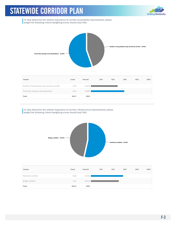

To help determine the relative importance of corridor accessibility improvements, please weight the following criteria (weighting scores should total 100):



| Answer                                           | Count  | Percent | 20% | 40% | 60% | 80% | 100% |
|--------------------------------------------------|--------|---------|-----|-----|-----|-----|------|
| Number of long-distance trips served by corridor | 44.67  | 44.62%  |     |     |     |     |      |
| Travel time savings to key destinations          | 55.44  | 55.38%  |     |     |     |     |      |
| Total                                            | 100.11 | 100%    |     |     |     |     |      |

To help determine the relative importance of corridor infrastructure improvements, please weight the following criteria (weighting scores should total 100):



| Pavement condition<br>53.46%<br>53.66 |  |
|---------------------------------------|--|
|                                       |  |
| Bridge condition<br>46.54%<br>46.71   |  |
| Total<br>100.37<br>100%               |  |